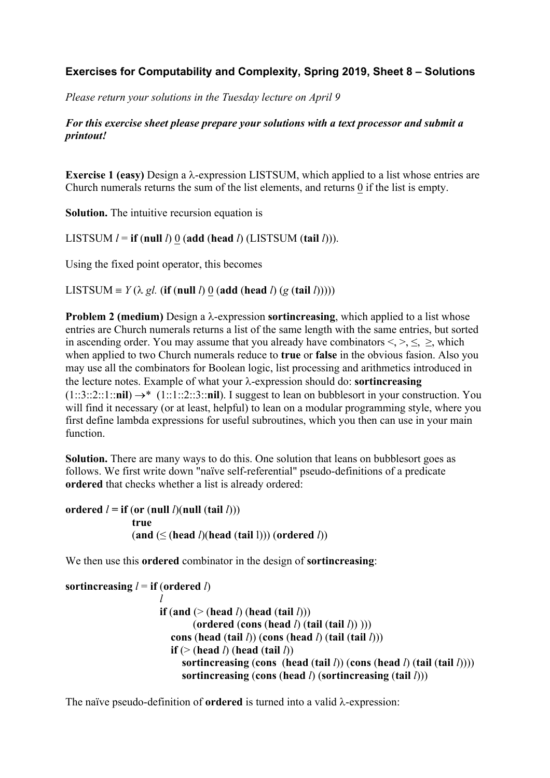## **Exercises for Computability and Complexity, Spring 2019, Sheet 8 – Solutions**

*Please return your solutions in the Tuesday lecture on April 9*

## *For this exercise sheet please prepare your solutions with a text processor and submit a printout!*

**Exercise 1 (easy)** Design a λ-expression LISTSUM, which applied to a list whose entries are Church numerals returns the sum of the list elements, and returns 0 if the list is empty.

**Solution.** The intuitive recursion equation is

LISTSUM  $l =$  **if** (**null** *l*) 0 (add (**head** *l*) (LISTSUM (**tail** *l*))).

Using the fixed point operator, this becomes

LISTSUM =  $Y(\lambda \text{ gl.} (\textbf{if} (\textbf{null } l) 0 (\textbf{add} (\textbf{head } l) (\textbf{g} (\textbf{tail } l))))))$ 

**Problem 2 (medium)** Design a  $\lambda$ -expression **sortincreasing**, which applied to a list whose entries are Church numerals returns a list of the same length with the same entries, but sorted in ascending order. You may assume that you already have combinators  $\leq, \leq, \leq$ , which when applied to two Church numerals reduce to **true** or **false** in the obvious fasion. Also you may use all the combinators for Boolean logic, list processing and arithmetics introduced in the lecture notes. Example of what your  $\lambda$ -expression should do: **sortincreasing**  $(1::3::2::1::**nil**) \rightarrow^* (1::1::2::3::**nil**).$  I suggest to lean on bubblesort in your construction. You will find it necessary (or at least, helpful) to lean on a modular programming style, where you first define lambda expressions for useful subroutines, which you then can use in your main function.

Solution. There are many ways to do this. One solution that leans on bubblesort goes as follows. We first write down "naïve self-referential" pseudo-definitions of a predicate **ordered** that checks whether a list is already ordered:

```
ordered l = if (or (null l)(null (tail l)))
                true 
                (and (≤ (head l)(head (tail l))) (ordered l))
```
We then use this **ordered** combinator in the design of **sortincreasing**:

```
sortincreasing l = if (ordered l)
l
                    \bf{if} (and (> (head l) (head (tail l)))
                             (ordered (cons (head l) (tail (tail l)) )))
                        cons (head (tail l)) (cons (head l) (tail (tail l)))
                       if (> (head l) (head (tail l)) sortincreasing (cons (head (tail l)) (cons (head l) (tail (tail l))))
                          sortincreasing (cons (head l) (sortincreasing (tail l)))
```
The naïve pseudo-definition of **ordered** is turned into a valid  $\lambda$ -expression: